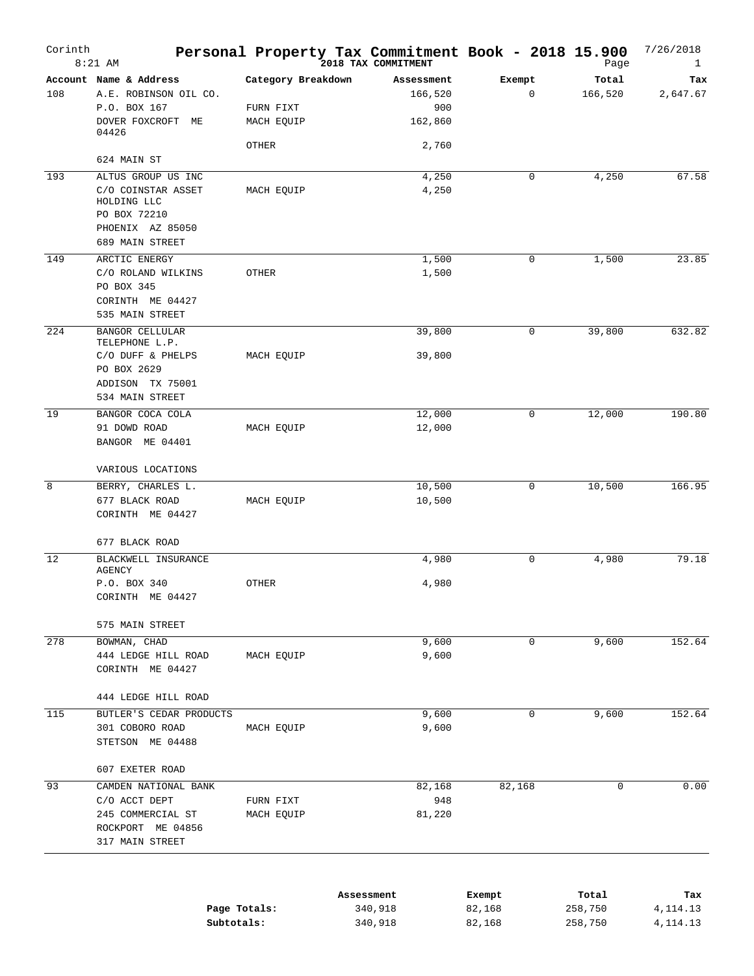| Corinth | $8:21$ AM                                                                                 | Personal Property Tax Commitment Book - 2018 15.900 | 2018 TAX COMMITMENT          |             | Page             | 7/26/2018<br>1  |
|---------|-------------------------------------------------------------------------------------------|-----------------------------------------------------|------------------------------|-------------|------------------|-----------------|
| 108     | Account Name & Address<br>A.E. ROBINSON OIL CO.<br>P.O. BOX 167                           | Category Breakdown<br>FURN FIXT                     | Assessment<br>166,520<br>900 | Exempt<br>0 | Total<br>166,520 | Tax<br>2,647.67 |
|         | DOVER FOXCROFT ME<br>04426                                                                | MACH EQUIP                                          | 162,860                      |             |                  |                 |
|         | 624 MAIN ST                                                                               | OTHER                                               | 2,760                        |             |                  |                 |
| 193     | ALTUS GROUP US INC                                                                        |                                                     | 4,250                        | 0           | 4,250            | 67.58           |
|         | C/O COINSTAR ASSET<br>HOLDING LLC<br>PO BOX 72210                                         | MACH EQUIP                                          | 4,250                        |             |                  |                 |
|         | PHOENIX AZ 85050<br>689 MAIN STREET                                                       |                                                     |                              |             |                  |                 |
| 149     | ARCTIC ENERGY<br>C/O ROLAND WILKINS<br>PO BOX 345<br>CORINTH ME 04427                     | OTHER                                               | 1,500<br>1,500               | 0           | 1,500            | 23.85           |
|         | 535 MAIN STREET                                                                           |                                                     |                              |             |                  |                 |
| 224     | <b>BANGOR CELLULAR</b>                                                                    |                                                     | 39,800                       | 0           | 39,800           | 632.82          |
|         | TELEPHONE L.P.<br>C/O DUFF & PHELPS<br>PO BOX 2629<br>ADDISON TX 75001<br>534 MAIN STREET | MACH EQUIP                                          | 39,800                       |             |                  |                 |
| 19      | BANGOR COCA COLA                                                                          |                                                     | 12,000                       | 0           | 12,000           | 190.80          |
|         | 91 DOWD ROAD<br>BANGOR ME 04401                                                           | MACH EQUIP                                          | 12,000                       |             |                  |                 |
|         | VARIOUS LOCATIONS                                                                         |                                                     |                              |             |                  |                 |
| 8       | BERRY, CHARLES L.                                                                         |                                                     | 10,500                       | 0           | 10,500           | 166.95          |
|         | 677 BLACK ROAD<br>CORINTH ME 04427                                                        | MACH EQUIP                                          | 10,500                       |             |                  |                 |
|         | 677 BLACK ROAD                                                                            |                                                     |                              |             |                  |                 |
| 12      | BLACKWELL INSURANCE<br>AGENCY                                                             |                                                     | 4,980                        | 0           | 4,980            | 79.18           |
|         | P.O. BOX 340<br>CORINTH ME 04427                                                          | OTHER                                               | 4,980                        |             |                  |                 |
|         | 575 MAIN STREET                                                                           |                                                     |                              |             |                  |                 |
| 278     | BOWMAN, CHAD                                                                              |                                                     | 9,600                        | 0           | 9,600            | 152.64          |
|         | 444 LEDGE HILL ROAD<br>CORINTH ME 04427                                                   | MACH EQUIP                                          | 9,600                        |             |                  |                 |
|         | 444 LEDGE HILL ROAD                                                                       |                                                     |                              |             |                  |                 |
| 115     | BUTLER'S CEDAR PRODUCTS                                                                   |                                                     | 9,600                        | 0           | 9,600            | 152.64          |
|         | 301 COBORO ROAD<br>STETSON ME 04488                                                       | MACH EQUIP                                          | 9,600                        |             |                  |                 |
|         | 607 EXETER ROAD                                                                           |                                                     |                              |             |                  |                 |
| 93      | CAMDEN NATIONAL BANK                                                                      |                                                     | 82,168                       | 82,168      | 0                | 0.00            |
|         | C/O ACCT DEPT<br>245 COMMERCIAL ST<br>ROCKPORT ME 04856<br>317 MAIN STREET                | FURN FIXT<br>MACH EQUIP                             | 948<br>81,220                |             |                  |                 |

|              | Assessment | Exempt | Total   | Tax        |
|--------------|------------|--------|---------|------------|
| Page Totals: | 340,918    | 82,168 | 258,750 | 4,114.13   |
| Subtotals:   | 340,918    | 82,168 | 258,750 | 4, 114, 13 |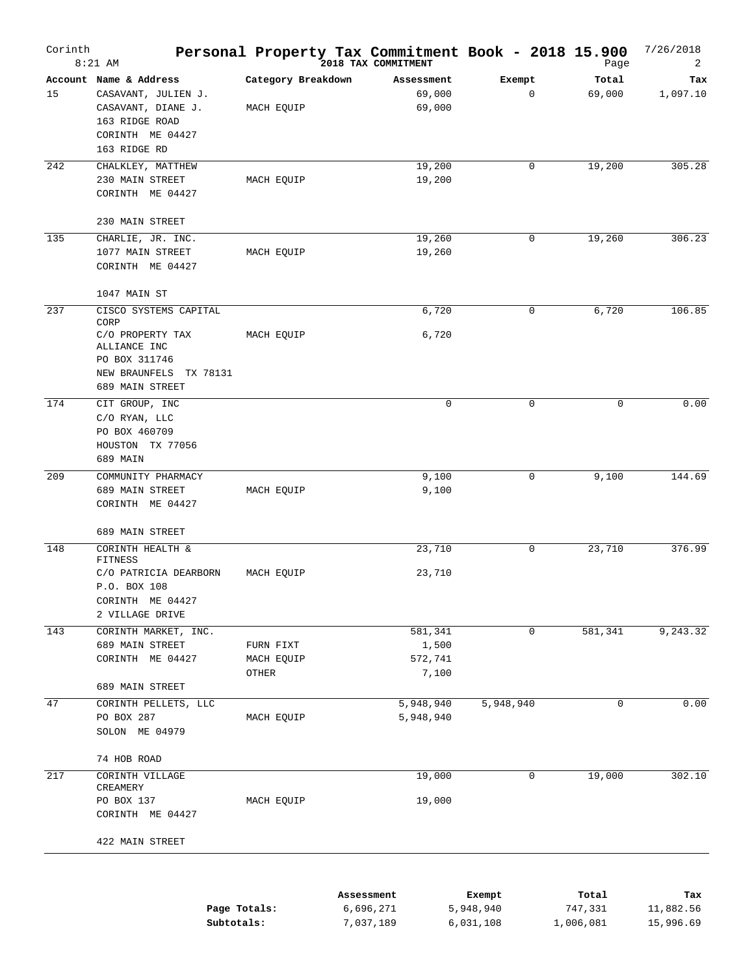| Corinth | $8:21$ AM                                                                                                                       |                                  | Personal Property Tax Commitment Book - 2018 15.900<br>2018 TAX COMMITMENT |                     | Page             | 7/26/2018<br>2   |
|---------|---------------------------------------------------------------------------------------------------------------------------------|----------------------------------|----------------------------------------------------------------------------|---------------------|------------------|------------------|
| 15      | Account Name & Address<br>CASAVANT, JULIEN J.<br>CASAVANT, DIANE J.<br>163 RIDGE ROAD<br>CORINTH ME 04427<br>163 RIDGE RD       | Category Breakdown<br>MACH EQUIP | Assessment<br>69,000<br>69,000                                             | Exempt<br>0         | Total<br>69,000  | Tax<br>1,097.10  |
| 242     | CHALKLEY, MATTHEW<br>230 MAIN STREET<br>CORINTH ME 04427                                                                        | MACH EQUIP                       | 19,200<br>19,200                                                           | 0                   | 19,200           | 305.28           |
|         | 230 MAIN STREET                                                                                                                 |                                  |                                                                            |                     |                  |                  |
| 135     | CHARLIE, JR. INC.<br>1077 MAIN STREET<br>CORINTH ME 04427                                                                       | MACH EQUIP                       | 19,260<br>19,260                                                           | 0                   | 19,260           | 306.23           |
|         | 1047 MAIN ST                                                                                                                    |                                  |                                                                            |                     |                  |                  |
| 237     | CISCO SYSTEMS CAPITAL<br>CORP<br>C/O PROPERTY TAX<br>ALLIANCE INC<br>PO BOX 311746<br>NEW BRAUNFELS TX 78131<br>689 MAIN STREET | MACH EQUIP                       | 6,720<br>6,720                                                             | 0                   | 6,720            | 106.85           |
| 174     | CIT GROUP, INC<br>C/O RYAN, LLC<br>PO BOX 460709<br>HOUSTON TX 77056<br>689 MAIN                                                |                                  | $\mathbf 0$                                                                | 0                   | 0                | 0.00             |
| 209     | COMMUNITY PHARMACY                                                                                                              |                                  | 9,100                                                                      | 0                   | 9,100            | 144.69           |
|         | 689 MAIN STREET<br>CORINTH ME 04427                                                                                             | MACH EQUIP                       | 9,100                                                                      |                     |                  |                  |
|         | 689 MAIN STREET                                                                                                                 |                                  |                                                                            |                     |                  |                  |
| 148     | CORINTH HEALTH &<br>FITNESS<br>C/O PATRICIA DEARBORN<br>P.O. BOX 108<br>CORINTH ME 04427<br>2 VILLAGE DRIVE                     | MACH EQUIP                       | 23,710<br>23,710                                                           | 0                   | 23,710           | 376.99           |
| 143     | CORINTH MARKET, INC.                                                                                                            |                                  | 581,341                                                                    | 0                   | 581,341          | 9,243.32         |
|         | 689 MAIN STREET                                                                                                                 | FURN FIXT                        | 1,500                                                                      |                     |                  |                  |
|         | CORINTH ME 04427                                                                                                                | MACH EQUIP                       | 572,741                                                                    |                     |                  |                  |
|         | 689 MAIN STREET                                                                                                                 | OTHER                            | 7,100                                                                      |                     |                  |                  |
| 47      | CORINTH PELLETS, LLC<br>PO BOX 287<br>SOLON ME 04979                                                                            | MACH EQUIP                       | 5,948,940<br>5,948,940                                                     | 5,948,940           | 0                | 0.00             |
|         | 74 HOB ROAD                                                                                                                     |                                  |                                                                            |                     |                  |                  |
| 217     | CORINTH VILLAGE<br>CREAMERY<br>PO BOX 137<br>CORINTH ME 04427                                                                   | MACH EQUIP                       | 19,000<br>19,000                                                           | 0                   | 19,000           | 302.10           |
|         | 422 MAIN STREET                                                                                                                 |                                  |                                                                            |                     |                  |                  |
|         | Page Totals:                                                                                                                    |                                  | Assessment<br>6,696,271                                                    | Exempt<br>5,948,940 | Total<br>747,331 | Tax<br>11,882.56 |

**Subtotals:** 7,037,189 6,031,108 1,006,081 15,996.69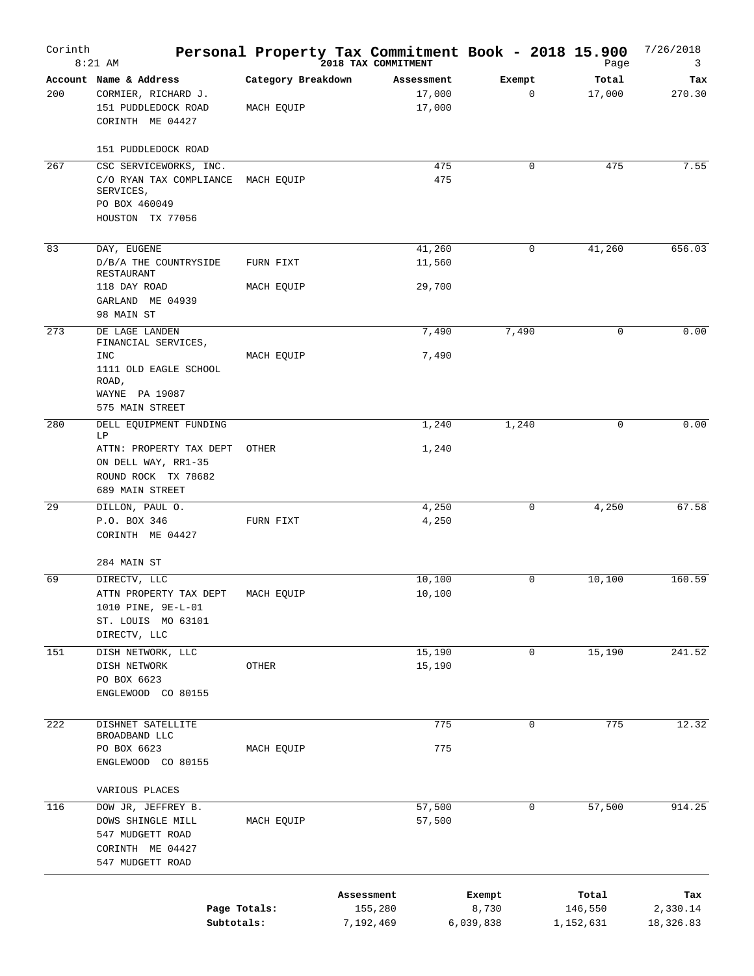| Corinth | $8:21$ AM                                                                                                      |                                  | Personal Property Tax Commitment Book - 2018 15.900 |                              |   | Page                          | 7/26/2018<br>3               |
|---------|----------------------------------------------------------------------------------------------------------------|----------------------------------|-----------------------------------------------------|------------------------------|---|-------------------------------|------------------------------|
| 200     | Account Name & Address<br>CORMIER, RICHARD J.<br>151 PUDDLEDOCK ROAD<br>CORINTH ME 04427                       | Category Breakdown<br>MACH EQUIP | Assessment<br>17,000<br>17,000                      | Exempt                       | 0 | Total<br>17,000               | Tax<br>270.30                |
|         | 151 PUDDLEDOCK ROAD                                                                                            |                                  |                                                     |                              |   |                               |                              |
| 267     | CSC SERVICEWORKS, INC.<br>C/O RYAN TAX COMPLIANCE MACH EQUIP<br>SERVICES,<br>PO BOX 460049<br>HOUSTON TX 77056 |                                  | 475<br>475                                          |                              | 0 | 475                           | 7.55                         |
| 83      | DAY, EUGENE<br>D/B/A THE COUNTRYSIDE<br>RESTAURANT                                                             | FURN FIXT                        | 41,260<br>11,560                                    |                              | 0 | 41,260                        | 656.03                       |
|         | 118 DAY ROAD<br>GARLAND ME 04939<br>98 MAIN ST                                                                 | MACH EQUIP                       | 29,700                                              |                              |   |                               |                              |
| 273     | DE LAGE LANDEN                                                                                                 |                                  | 7,490                                               | 7,490                        |   | 0                             | 0.00                         |
|         | FINANCIAL SERVICES,<br><b>INC</b><br>1111 OLD EAGLE SCHOOL<br>ROAD,<br>WAYNE PA 19087<br>575 MAIN STREET       | MACH EQUIP                       | 7,490                                               |                              |   |                               |                              |
| 280     | DELL EQUIPMENT FUNDING                                                                                         |                                  | 1,240                                               | 1,240                        |   | $\mathbf 0$                   | 0.00                         |
|         | LP<br>ATTN: PROPERTY TAX DEPT<br>ON DELL WAY, RR1-35<br>ROUND ROCK TX 78682<br>689 MAIN STREET                 | OTHER                            | 1,240                                               |                              |   |                               |                              |
| 29      | DILLON, PAUL O.<br>P.O. BOX 346<br>CORINTH ME 04427                                                            | FURN FIXT                        | 4,250<br>4,250                                      |                              | 0 | 4,250                         | 67.58                        |
|         | 284 MAIN ST                                                                                                    |                                  |                                                     |                              |   |                               |                              |
| 69      | DIRECTV, LLC<br>ATTN PROPERTY TAX DEPT<br>1010 PINE, 9E-L-01<br>ST. LOUIS MO 63101<br>DIRECTV, LLC             | MACH EQUIP                       | 10,100<br>10,100                                    |                              | 0 | 10,100                        | 160.59                       |
| 151     | DISH NETWORK, LLC<br>DISH NETWORK<br>PO BOX 6623<br>ENGLEWOOD CO 80155                                         | OTHER                            | 15,190<br>15,190                                    |                              | 0 | 15,190                        | 241.52                       |
| 222     | DISHNET SATELLITE                                                                                              |                                  | 775                                                 |                              | 0 | 775                           | 12.32                        |
|         | BROADBAND LLC<br>PO BOX 6623<br>ENGLEWOOD CO 80155                                                             | MACH EQUIP                       | 775                                                 |                              |   |                               |                              |
|         | VARIOUS PLACES                                                                                                 |                                  |                                                     |                              |   |                               |                              |
| 116     | DOW JR, JEFFREY B.<br>DOWS SHINGLE MILL<br>547 MUDGETT ROAD<br>CORINTH ME 04427<br>547 MUDGETT ROAD            | MACH EQUIP                       | 57,500<br>57,500                                    |                              | 0 | 57,500                        | 914.25                       |
|         | Page Totals:<br>Subtotals:                                                                                     |                                  | Assessment<br>155,280<br>7,192,469                  | Exempt<br>8,730<br>6,039,838 |   | Total<br>146,550<br>1,152,631 | Tax<br>2,330.14<br>18,326.83 |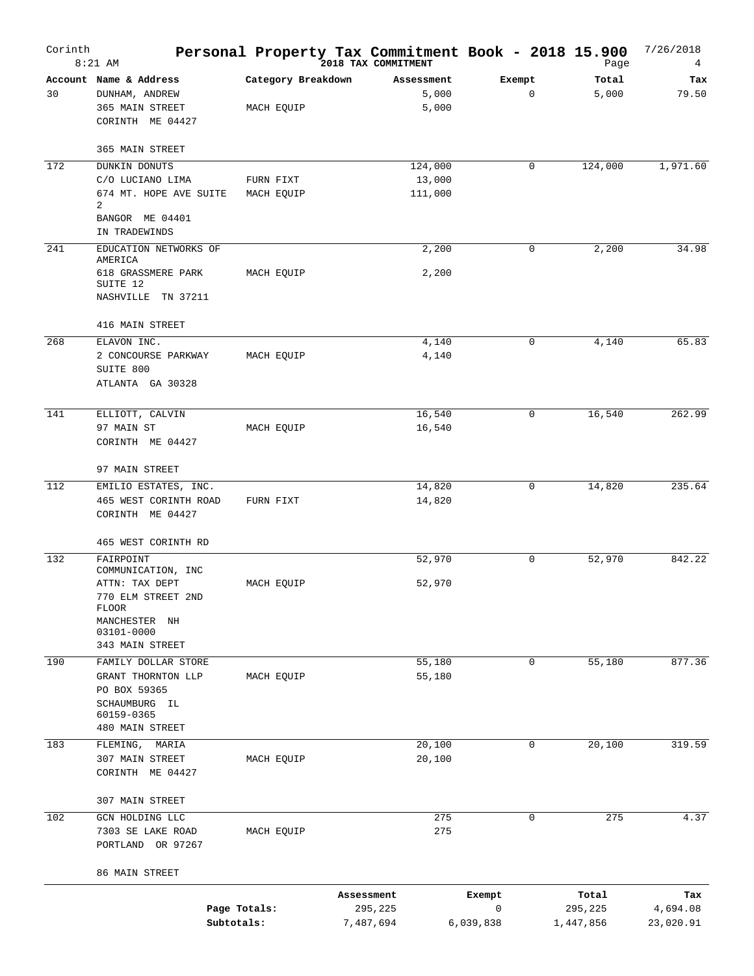| Corinth | $8:21$ AM                                                                                                                          |                                  | Personal Property Tax Commitment Book - 2018 15.900<br>2018 TAX COMMITMENT |                          | Page                          | 7/26/2018<br>4               |
|---------|------------------------------------------------------------------------------------------------------------------------------------|----------------------------------|----------------------------------------------------------------------------|--------------------------|-------------------------------|------------------------------|
| 30      | Account Name & Address<br>DUNHAM, ANDREW<br>365 MAIN STREET<br>CORINTH ME 04427                                                    | Category Breakdown<br>MACH EQUIP | Assessment<br>5,000<br>5,000                                               | Exempt<br>0              | Total<br>5,000                | Tax<br>79.50                 |
|         | 365 MAIN STREET                                                                                                                    |                                  |                                                                            |                          |                               |                              |
| 172     | <b>DUNKIN DONUTS</b><br>C/O LUCIANO LIMA<br>674 MT. HOPE AVE SUITE<br>2<br>BANGOR ME 04401                                         | FURN FIXT<br>MACH EQUIP          | 124,000<br>13,000<br>111,000                                               | $\mathbf 0$              | 124,000                       | 1,971.60                     |
|         | IN TRADEWINDS                                                                                                                      |                                  |                                                                            |                          |                               |                              |
| 241     | EDUCATION NETWORKS OF<br>AMERICA<br>618 GRASSMERE PARK<br>SUITE 12<br>NASHVILLE TN 37211                                           | MACH EQUIP                       | 2,200<br>2,200                                                             | $\mathbf 0$              | 2,200                         | 34.98                        |
|         | 416 MAIN STREET                                                                                                                    |                                  |                                                                            |                          |                               |                              |
| 268     | ELAVON INC.<br>2 CONCOURSE PARKWAY<br>SUITE 800<br>ATLANTA GA 30328                                                                | MACH EQUIP                       | 4,140<br>4,140                                                             | $\mathbf 0$              | 4,140                         | 65.83                        |
| 141     | ELLIOTT, CALVIN<br>97 MAIN ST<br>CORINTH ME 04427                                                                                  | MACH EQUIP                       | 16,540<br>16,540                                                           | $\mathbf 0$              | 16,540                        | 262.99                       |
|         | 97 MAIN STREET                                                                                                                     |                                  |                                                                            |                          |                               |                              |
| 112     | EMILIO ESTATES, INC.<br>465 WEST CORINTH ROAD<br>CORINTH ME 04427                                                                  | FURN FIXT                        | 14,820<br>14,820                                                           | $\mathbf 0$              | 14,820                        | 235.64                       |
|         | 465 WEST CORINTH RD                                                                                                                |                                  |                                                                            |                          |                               |                              |
| 132     | FAIRPOINT<br>COMMUNICATION, INC<br>ATTN: TAX DEPT<br>770 ELM STREET 2ND<br>FLOOR<br>MANCHESTER NH<br>03101-0000<br>343 MAIN STREET | MACH EQUIP                       | 52,970<br>52,970                                                           | $\mathbf 0$              | 52,970                        | 842.22                       |
| 190     | FAMILY DOLLAR STORE<br>GRANT THORNTON LLP<br>PO BOX 59365<br>SCHAUMBURG IL<br>60159-0365<br>480 MAIN STREET                        | MACH EQUIP                       | 55,180<br>55,180                                                           | $\mathbf 0$              | 55,180                        | 877.36                       |
| 183     | FLEMING,<br>MARIA                                                                                                                  |                                  | 20,100                                                                     | 0                        | 20,100                        | 319.59                       |
|         | 307 MAIN STREET<br>CORINTH ME 04427                                                                                                | MACH EQUIP                       | 20,100                                                                     |                          |                               |                              |
|         | 307 MAIN STREET                                                                                                                    |                                  |                                                                            |                          |                               |                              |
| 102     | GCN HOLDING LLC<br>7303 SE LAKE ROAD<br>PORTLAND OR 97267                                                                          | MACH EQUIP                       | 275<br>275                                                                 | $\mathbf 0$              | 275                           | 4.37                         |
|         | 86 MAIN STREET                                                                                                                     |                                  |                                                                            |                          |                               |                              |
|         | Page Totals:<br>Subtotals:                                                                                                         |                                  | Assessment<br>295,225<br>7,487,694                                         | Exempt<br>0<br>6,039,838 | Total<br>295,225<br>1,447,856 | Tax<br>4,694.08<br>23,020.91 |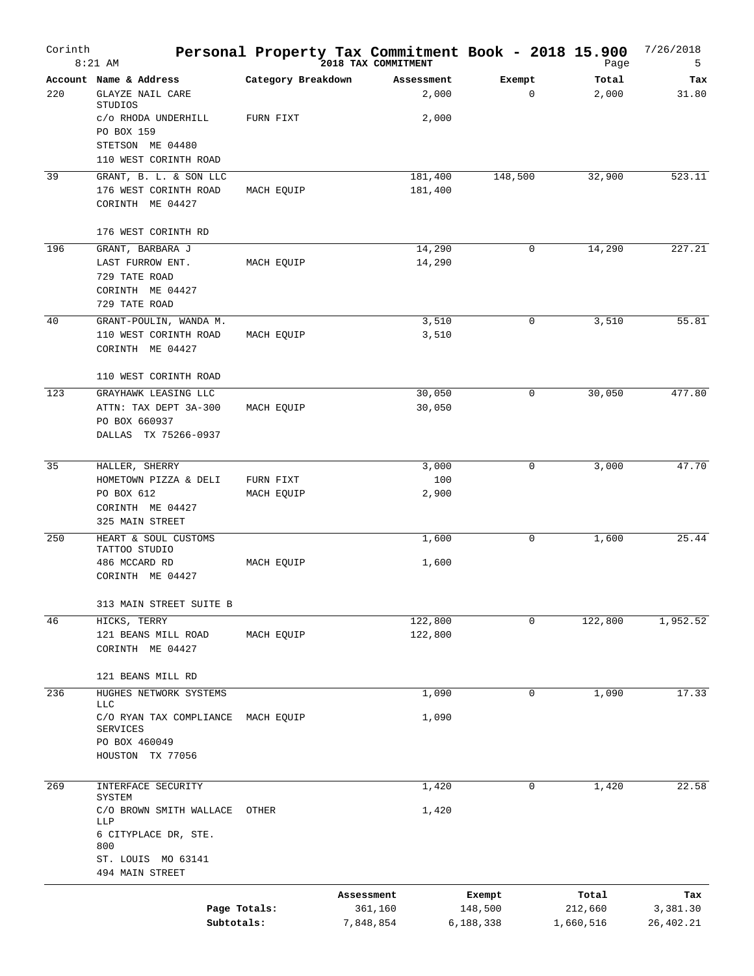| Corinth | $8:21$ AM                                                                                  |                         | Personal Property Tax Commitment Book - 2018 15.900<br>2018 TAX COMMITMENT |                                | Page                          | 7/26/2018<br>5               |
|---------|--------------------------------------------------------------------------------------------|-------------------------|----------------------------------------------------------------------------|--------------------------------|-------------------------------|------------------------------|
| 220     | Account Name & Address<br>GLAYZE NAIL CARE                                                 | Category Breakdown      | Assessment<br>2,000                                                        | Exempt<br>$\mathbf 0$          | Total<br>2,000                | Tax<br>31.80                 |
|         | STUDIOS<br>C/O RHODA UNDERHILL<br>PO BOX 159<br>STETSON ME 04480                           | FURN FIXT               | 2,000                                                                      |                                |                               |                              |
|         | 110 WEST CORINTH ROAD                                                                      |                         |                                                                            |                                |                               |                              |
| 39      | GRANT, B. L. & SON LLC<br>176 WEST CORINTH ROAD<br>CORINTH ME 04427                        | MACH EQUIP              | 181,400<br>181,400                                                         | 148,500                        | 32,900                        | 523.11                       |
|         | 176 WEST CORINTH RD                                                                        |                         |                                                                            |                                |                               |                              |
| 196     | GRANT, BARBARA J<br>LAST FURROW ENT.<br>729 TATE ROAD<br>CORINTH ME 04427<br>729 TATE ROAD | MACH EQUIP              | 14,290<br>14,290                                                           | 0                              | 14,290                        | 227.21                       |
| 40      | GRANT-POULIN, WANDA M.<br>110 WEST CORINTH ROAD<br>CORINTH ME 04427                        | MACH EQUIP              | 3,510<br>3,510                                                             | 0                              | 3,510                         | 55.81                        |
|         | 110 WEST CORINTH ROAD                                                                      |                         |                                                                            |                                |                               |                              |
| 123     | GRAYHAWK LEASING LLC<br>ATTN: TAX DEPT 3A-300<br>PO BOX 660937<br>DALLAS TX 75266-0937     | MACH EQUIP              | 30,050<br>30,050                                                           | 0                              | 30,050                        | 477.80                       |
| 35      | HALLER, SHERRY                                                                             |                         | 3,000                                                                      | 0                              | 3,000                         | 47.70                        |
|         | HOMETOWN PIZZA & DELI<br>PO BOX 612<br>CORINTH ME 04427                                    | FURN FIXT<br>MACH EQUIP | 100<br>2,900                                                               |                                |                               |                              |
| 250     | 325 MAIN STREET<br>HEART & SOUL CUSTOMS                                                    |                         | 1,600                                                                      | 0                              | 1,600                         | 25.44                        |
|         | TATTOO STUDIO<br>486 MCCARD RD<br>CORINTH ME 04427                                         | MACH EQUIP              | 1,600                                                                      |                                |                               |                              |
|         | 313 MAIN STREET SUITE B                                                                    |                         |                                                                            |                                |                               |                              |
| 46      | HICKS, TERRY                                                                               |                         | 122,800                                                                    | 0                              | 122,800                       | 1,952.52                     |
|         | 121 BEANS MILL ROAD<br>CORINTH ME 04427                                                    | MACH EQUIP              | 122,800                                                                    |                                |                               |                              |
|         | 121 BEANS MILL RD                                                                          |                         |                                                                            |                                |                               |                              |
| 236     | HUGHES NETWORK SYSTEMS<br><b>LLC</b><br>C/O RYAN TAX COMPLIANCE                            | MACH EQUIP              | 1,090<br>1,090                                                             | 0                              | 1,090                         | 17.33                        |
|         | <b>SERVICES</b><br>PO BOX 460049<br>HOUSTON TX 77056                                       |                         |                                                                            |                                |                               |                              |
| 269     | INTERFACE SECURITY<br>SYSTEM                                                               |                         | 1,420                                                                      | 0                              | 1,420                         | 22.58                        |
|         | C/O BROWN SMITH WALLACE<br>LLP<br>6 CITYPLACE DR, STE.<br>800<br>ST. LOUIS MO 63141        | OTHER                   | 1,420                                                                      |                                |                               |                              |
|         | 494 MAIN STREET                                                                            |                         |                                                                            |                                |                               |                              |
|         | Page Totals:<br>Subtotals:                                                                 |                         | Assessment<br>361,160<br>7,848,854                                         | Exempt<br>148,500<br>6,188,338 | Total<br>212,660<br>1,660,516 | Tax<br>3,381.30<br>26,402.21 |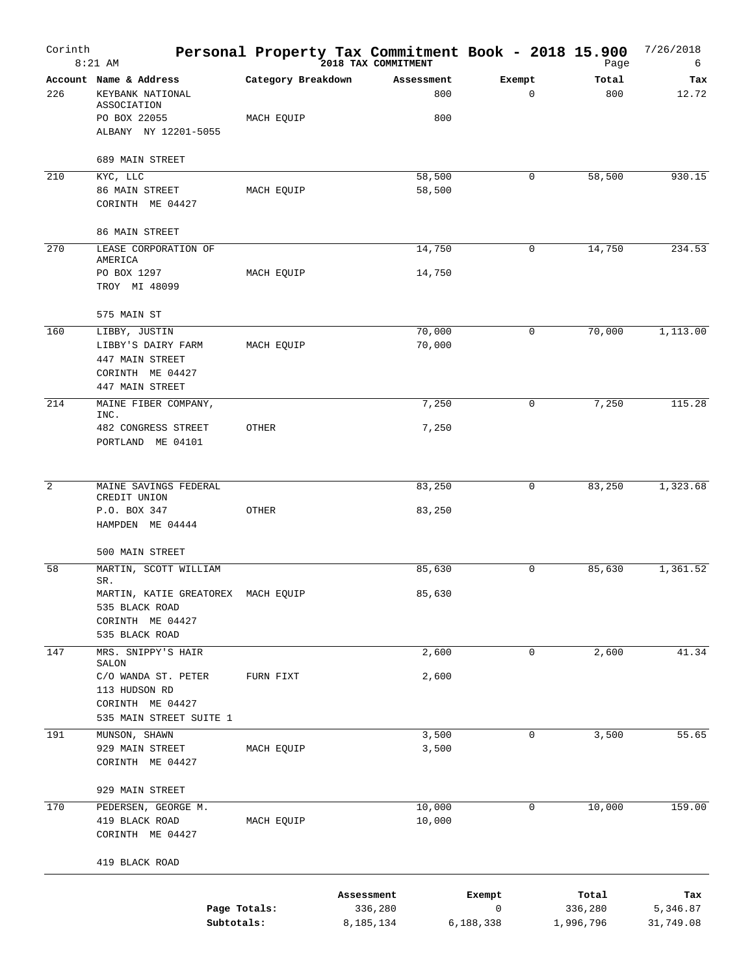| Corinth | $8:21$ AM                                                                                         |                    | Personal Property Tax Commitment Book - 2018 15.900<br>2018 TAX COMMITMENT |                  |                          |             | Page                          | 7/26/2018<br>6               |
|---------|---------------------------------------------------------------------------------------------------|--------------------|----------------------------------------------------------------------------|------------------|--------------------------|-------------|-------------------------------|------------------------------|
| 226     | Account Name & Address<br>KEYBANK NATIONAL<br>ASSOCIATION                                         | Category Breakdown | Assessment                                                                 | 800              | Exempt                   | $\mathbf 0$ | Total<br>800                  | Tax<br>12.72                 |
|         | PO BOX 22055<br>ALBANY NY 12201-5055                                                              | MACH EQUIP         |                                                                            | 800              |                          |             |                               |                              |
| 210     | 689 MAIN STREET                                                                                   |                    |                                                                            |                  |                          | 0           |                               | 930.15                       |
|         | KYC, LLC<br>86 MAIN STREET<br>CORINTH ME 04427<br>86 MAIN STREET                                  | MACH EQUIP         |                                                                            | 58,500<br>58,500 |                          |             | 58,500                        |                              |
| 270     | LEASE CORPORATION OF                                                                              |                    |                                                                            | 14,750           |                          | $\mathbf 0$ | 14,750                        | 234.53                       |
|         | AMERICA                                                                                           |                    |                                                                            |                  |                          |             |                               |                              |
|         | PO BOX 1297<br>TROY MI 48099                                                                      | MACH EQUIP         |                                                                            | 14,750           |                          |             |                               |                              |
|         | 575 MAIN ST                                                                                       |                    |                                                                            |                  |                          |             |                               |                              |
| 160     | LIBBY, JUSTIN<br>LIBBY'S DAIRY FARM<br>447 MAIN STREET<br>CORINTH ME 04427                        | MACH EQUIP         |                                                                            | 70,000<br>70,000 |                          | 0           | 70,000                        | 1,113.00                     |
| 214     | 447 MAIN STREET                                                                                   |                    |                                                                            | 7,250            |                          | 0           | 7,250                         | 115.28                       |
|         | MAINE FIBER COMPANY,<br>INC.<br>482 CONGRESS STREET<br>PORTLAND ME 04101                          | OTHER              |                                                                            | 7,250            |                          |             |                               |                              |
| 2       | MAINE SAVINGS FEDERAL<br>CREDIT UNION<br>P.O. BOX 347                                             | OTHER              |                                                                            | 83,250<br>83,250 |                          | 0           | 83,250                        | 1,323.68                     |
|         | HAMPDEN ME 04444<br>500 MAIN STREET                                                               |                    |                                                                            |                  |                          |             |                               |                              |
| 58      | MARTIN, SCOTT WILLIAM                                                                             |                    |                                                                            | 85,630           |                          | $\mathbf 0$ | 85,630                        | 1,361.52                     |
|         | SR.<br>MARTIN, KATIE GREATOREX MACH EQUIP<br>535 BLACK ROAD<br>CORINTH ME 04427<br>535 BLACK ROAD |                    |                                                                            | 85,630           |                          |             |                               |                              |
| 147     | MRS. SNIPPY'S HAIR                                                                                |                    |                                                                            | 2,600            |                          | $\mathbf 0$ | 2,600                         | 41.34                        |
|         | SALON<br>C/O WANDA ST. PETER<br>113 HUDSON RD<br>CORINTH ME 04427                                 | FURN FIXT          |                                                                            | 2,600            |                          |             |                               |                              |
|         | 535 MAIN STREET SUITE 1                                                                           |                    |                                                                            |                  |                          |             |                               |                              |
| 191     | MUNSON, SHAWN<br>929 MAIN STREET<br>CORINTH ME 04427                                              | MACH EQUIP         |                                                                            | 3,500<br>3,500   |                          | $\mathbf 0$ | 3,500                         | 55.65                        |
|         | 929 MAIN STREET                                                                                   |                    |                                                                            |                  |                          |             |                               |                              |
| 170     | PEDERSEN, GEORGE M.<br>419 BLACK ROAD<br>CORINTH ME 04427                                         | MACH EQUIP         |                                                                            | 10,000<br>10,000 |                          | 0           | 10,000                        | 159.00                       |
|         | 419 BLACK ROAD                                                                                    |                    |                                                                            |                  |                          |             |                               |                              |
|         | Page Totals:<br>Subtotals:                                                                        |                    | Assessment<br>336,280<br>8,185,134                                         |                  | Exempt<br>0<br>6,188,338 |             | Total<br>336,280<br>1,996,796 | тах<br>5,346.87<br>31,749.08 |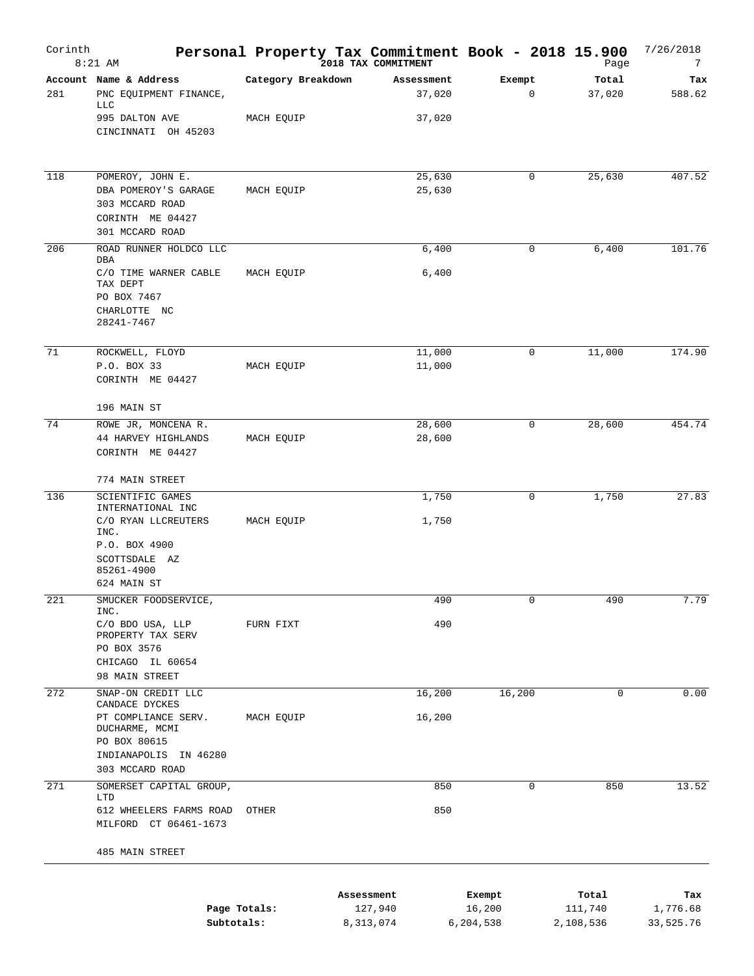| Corinth | $8:21$ AM                                                                                                                                 |                                  | Personal Property Tax Commitment Book - 2018 15.900<br>2018 TAX COMMITMENT |                  | Page             | 7/26/2018<br>7  |
|---------|-------------------------------------------------------------------------------------------------------------------------------------------|----------------------------------|----------------------------------------------------------------------------|------------------|------------------|-----------------|
| 281     | Account Name & Address<br>PNC EQUIPMENT FINANCE,<br>LLC<br>995 DALTON AVE<br>CINCINNATI OH 45203                                          | Category Breakdown<br>MACH EQUIP | Assessment<br>37,020<br>37,020                                             | Exempt<br>0      | Total<br>37,020  | Tax<br>588.62   |
| 118     | POMEROY, JOHN E.<br>DBA POMEROY'S GARAGE<br>303 MCCARD ROAD<br>CORINTH ME 04427<br>301 MCCARD ROAD                                        | MACH EQUIP                       | 25,630<br>25,630                                                           | 0                | 25,630           | 407.52          |
| 206     | ROAD RUNNER HOLDCO LLC<br>DBA<br>C/O TIME WARNER CABLE<br>TAX DEPT<br>PO BOX 7467<br>CHARLOTTE NC<br>28241-7467                           | MACH EQUIP                       | 6,400<br>6,400                                                             | 0                | 6,400            | 101.76          |
| 71      | ROCKWELL, FLOYD<br>P.O. BOX 33<br>CORINTH ME 04427                                                                                        | MACH EQUIP                       | 11,000<br>11,000                                                           | 0                | 11,000           | 174.90          |
| 74      | 196 MAIN ST<br>ROWE JR, MONCENA R.<br>44 HARVEY HIGHLANDS<br>CORINTH ME 04427                                                             | MACH EQUIP                       | 28,600<br>28,600                                                           | 0                | 28,600           | 454.74          |
|         | 774 MAIN STREET                                                                                                                           |                                  |                                                                            |                  |                  |                 |
| 136     | SCIENTIFIC GAMES<br>INTERNATIONAL INC<br>C/O RYAN LLCREUTERS<br>INC.<br>P.O. BOX 4900<br>SCOTTSDALE AZ<br>85261-4900<br>624 MAIN ST       | MACH EQUIP                       | 1,750<br>1,750                                                             | 0                | 1,750            | 27.83           |
| 221     | SMUCKER FOODSERVICE,<br>INC.<br>C/O BDO USA, LLP<br>PROPERTY TAX SERV<br>PO BOX 3576<br>CHICAGO IL 60654<br>98 MAIN STREET                | FURN FIXT                        | 490<br>490                                                                 | 0                | 490              | 7.79            |
| 272     | SNAP-ON CREDIT LLC<br>CANDACE DYCKES<br>PT COMPLIANCE SERV.<br>DUCHARME, MCMI<br>PO BOX 80615<br>INDIANAPOLIS IN 46280<br>303 MCCARD ROAD | MACH EQUIP                       | 16,200<br>16,200                                                           | 16,200           | $\mathbf 0$      | 0.00            |
| 271     | SOMERSET CAPITAL GROUP,<br>LTD<br>612 WHEELERS FARMS ROAD<br>MILFORD CT 06461-1673<br>485 MAIN STREET                                     | OTHER                            | 850<br>850                                                                 | 0                | 850              | 13.52           |
|         | Page Totals:                                                                                                                              |                                  | Assessment<br>127,940                                                      | Exempt<br>16,200 | Total<br>111,740 | Tax<br>1,776.68 |

**Subtotals:** 8,313,074 6,204,538 2,108,536 33,525.76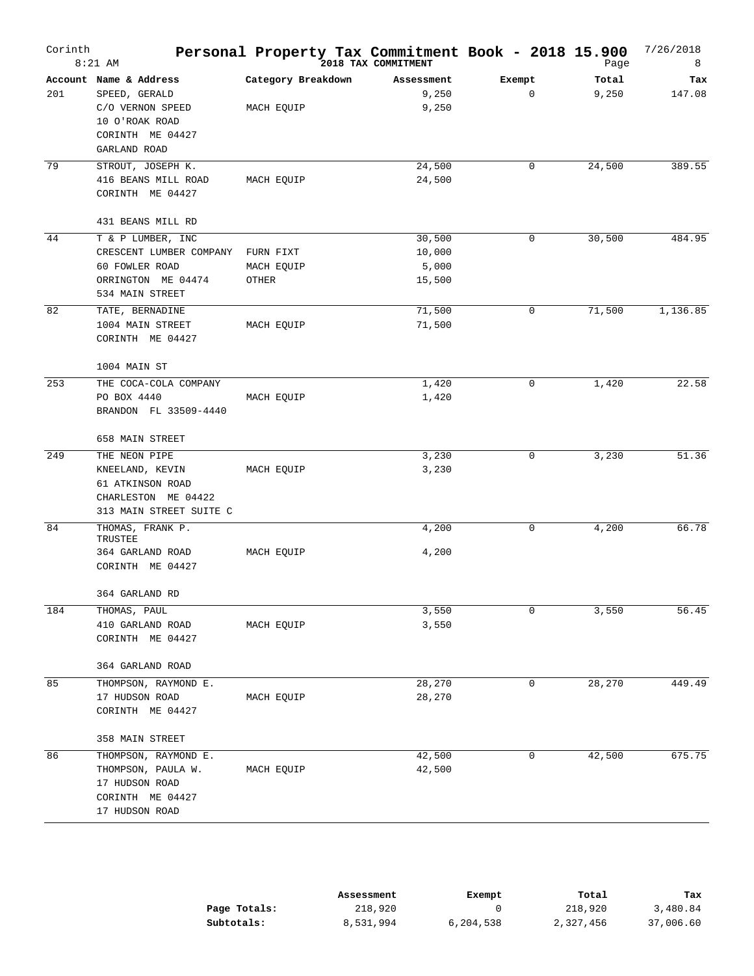| Corinth | $8:21$ AM                                                                                                                    | Personal Property Tax Commitment Book - 2018 15.900 | 2018 TAX COMMITMENT                 |             | Page           | 7/26/2018<br>8 |
|---------|------------------------------------------------------------------------------------------------------------------------------|-----------------------------------------------------|-------------------------------------|-------------|----------------|----------------|
| 201     | Account Name & Address<br>SPEED, GERALD<br>C/O VERNON SPEED<br>10 O'ROAK ROAD<br>CORINTH ME 04427<br>GARLAND ROAD            | Category Breakdown<br>MACH EQUIP                    | Assessment<br>9,250<br>9,250        | Exempt<br>0 | Total<br>9,250 | Tax<br>147.08  |
| 79      | STROUT, JOSEPH K.<br>416 BEANS MILL ROAD<br>CORINTH ME 04427                                                                 | MACH EQUIP                                          | 24,500<br>24,500                    | 0           | 24,500         | 389.55         |
| 44      | 431 BEANS MILL RD<br>T & P LUMBER, INC<br>CRESCENT LUMBER COMPANY<br>60 FOWLER ROAD<br>ORRINGTON ME 04474<br>534 MAIN STREET | FURN FIXT<br>MACH EQUIP<br>OTHER                    | 30,500<br>10,000<br>5,000<br>15,500 | 0           | 30,500         | 484.95         |
| 82      | TATE, BERNADINE<br>1004 MAIN STREET<br>CORINTH ME 04427<br>1004 MAIN ST                                                      | MACH EQUIP                                          | 71,500<br>71,500                    | 0           | 71,500         | 1,136.85       |
| 253     | THE COCA-COLA COMPANY<br>PO BOX 4440<br>BRANDON FL 33509-4440<br>658 MAIN STREET                                             | MACH EQUIP                                          | 1,420<br>1,420                      | 0           | 1,420          | 22.58          |
| 249     | THE NEON PIPE<br>KNEELAND, KEVIN<br>61 ATKINSON ROAD<br>CHARLESTON ME 04422<br>313 MAIN STREET SUITE C                       | MACH EQUIP                                          | 3,230<br>3,230                      | 0           | 3,230          | 51.36          |
| 84      | THOMAS, FRANK P.<br>TRUSTEE<br>364 GARLAND ROAD<br>CORINTH ME 04427<br>364 GARLAND RD                                        | MACH EQUIP                                          | 4,200<br>4,200                      | 0           | 4,200          | 66.78          |
| 184     | THOMAS, PAUL<br>410 GARLAND ROAD<br>CORINTH ME 04427<br>364 GARLAND ROAD                                                     | MACH EQUIP                                          | 3,550<br>3,550                      | 0           | 3,550          | 56.45          |
| 85      | THOMPSON, RAYMOND E.<br>17 HUDSON ROAD<br>CORINTH ME 04427<br>358 MAIN STREET                                                | MACH EQUIP                                          | 28,270<br>28,270                    | 0           | 28,270         | 449.49         |
| 86      | THOMPSON, RAYMOND E.<br>THOMPSON, PAULA W.<br>17 HUDSON ROAD<br>CORINTH ME 04427<br>17 HUDSON ROAD                           | MACH EQUIP                                          | 42,500<br>42,500                    | 0           | 42,500         | 675.75         |

|              | Assessment | Exempt    | Total     | Tax       |
|--------------|------------|-----------|-----------|-----------|
| Page Totals: | 218,920    |           | 218,920   | 3,480.84  |
| Subtotals:   | 8,531,994  | 6,204,538 | 2,327,456 | 37,006.60 |